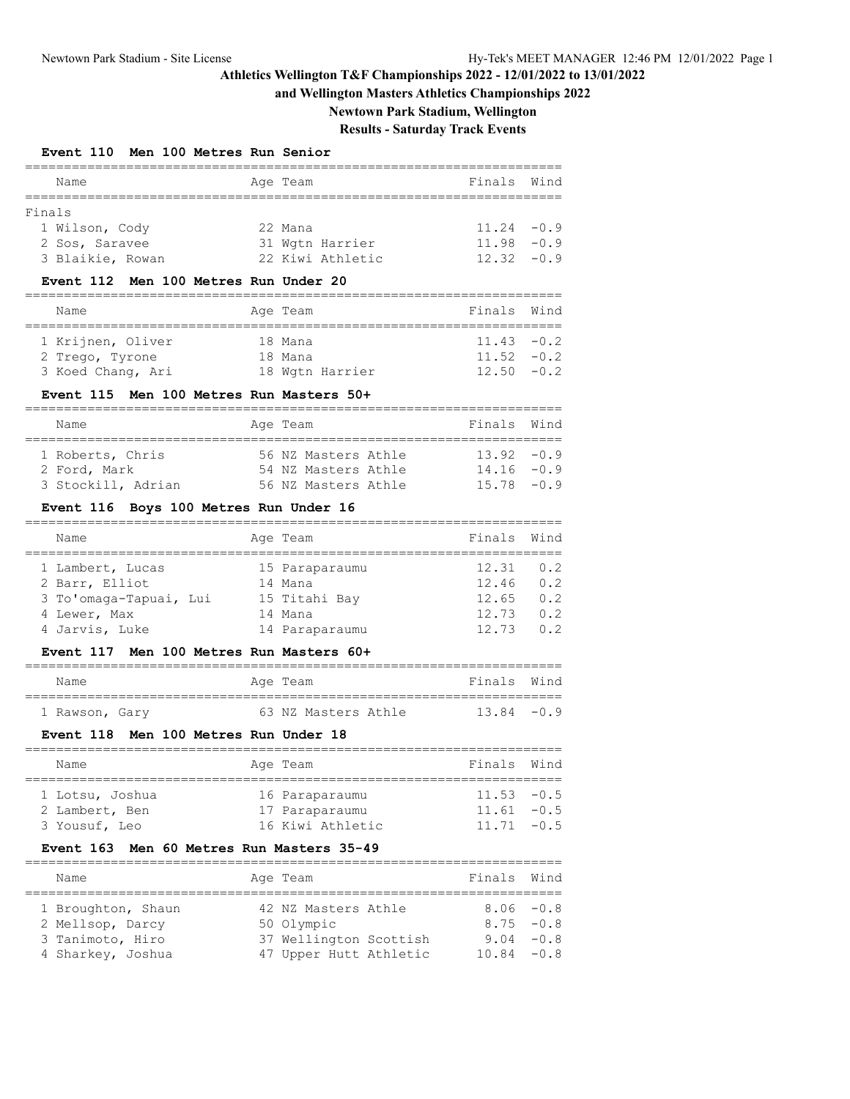### **and Wellington Masters Athletics Championships 2022**

**Newtown Park Stadium, Wellington**

# **Results - Saturday Track Events**

### **Event 110 Men 100 Metres Run Senior**

|        | Name             |  | Age Team |                  | Finals Wind   |  |  |  |  |  |  |
|--------|------------------|--|----------|------------------|---------------|--|--|--|--|--|--|
|        |                  |  |          |                  |               |  |  |  |  |  |  |
| Finals |                  |  |          |                  |               |  |  |  |  |  |  |
|        | 1 Wilson, Cody   |  | 22 Mana  |                  | $11.24 - 0.9$ |  |  |  |  |  |  |
|        | 2 Sos, Saravee   |  |          | 31 Wgtn Harrier  | $11.98 - 0.9$ |  |  |  |  |  |  |
|        | 3 Blaikie, Rowan |  |          | 22 Kiwi Athletic | $12.32 - 0.9$ |  |  |  |  |  |  |

#### **Event 112 Men 100 Metres Run Under 20**

| Name              |  | Age Team |                 | Finals Wind   |  |  |  |  |  |  |
|-------------------|--|----------|-----------------|---------------|--|--|--|--|--|--|
|                   |  |          |                 |               |  |  |  |  |  |  |
| 1 Krijnen, Oliver |  | 18 Mana  |                 | $11.43 - 0.2$ |  |  |  |  |  |  |
| 2 Trego, Tyrone   |  | 18 Mana  |                 | $11.52 - 0.2$ |  |  |  |  |  |  |
| 3 Koed Chang, Ari |  |          | 18 Wgtn Harrier | $12.50 - 0.2$ |  |  |  |  |  |  |

#### **Event 115 Men 100 Metres Run Masters 50+**

| Name               | Age Team |  |                     |  | Finals Wind   |  |  |  |  |  |
|--------------------|----------|--|---------------------|--|---------------|--|--|--|--|--|
|                    |          |  |                     |  |               |  |  |  |  |  |
| 1 Roberts, Chris   |          |  | 56 NZ Masters Athle |  | $13.92 - 0.9$ |  |  |  |  |  |
| 2 Ford, Mark       |          |  | 54 NZ Masters Athle |  | $14.16 - 0.9$ |  |  |  |  |  |
| 3 Stockill, Adrian |          |  | 56 NZ Masters Athle |  | $15.78 - 0.9$ |  |  |  |  |  |

#### **Event 116 Boys 100 Metres Run Under 16**

| Name                   | Age Team       | Finals | Wind           |
|------------------------|----------------|--------|----------------|
|                        |                |        |                |
| 1 Lambert, Lucas       | 15 Paraparaumu | 12.31  | 0.2            |
| 2 Barr, Elliot         | 14 Mana        | 12.46  | 0.2            |
| 3 To'omaga-Tapuai, Lui | 15 Titahi Bay  | 12.65  | 0.2            |
| 4 Lewer, Max           | 14 Mana        | 12.73  | 0.2            |
| 4 Jarvis, Luke         | 14 Paraparaumu | 12.73  | 0 <sub>2</sub> |

### **Event 117 Men 100 Metres Run Masters 60+**

| Name           | Age Team |                     | Finals Wind   |  |
|----------------|----------|---------------------|---------------|--|
|                |          |                     |               |  |
| 1 Rawson, Gary |          | 63 NZ Masters Athle | $13.84 - 0.9$ |  |

#### **Event 118 Men 100 Metres Run Under 18**

| Name            |  | Age Team         | Finals Wind   |  |  |  |  |  |  |  |  |
|-----------------|--|------------------|---------------|--|--|--|--|--|--|--|--|
|                 |  |                  |               |  |  |  |  |  |  |  |  |
| 1 Lotsu, Joshua |  | 16 Paraparaumu   | $11.53 - 0.5$ |  |  |  |  |  |  |  |  |
| 2 Lambert, Ben  |  | 17 Paraparaumu   | $11.61 - 0.5$ |  |  |  |  |  |  |  |  |
| 3 Yousuf, Leo   |  | 16 Kiwi Athletic | $11.71 - 0.5$ |  |  |  |  |  |  |  |  |

### **Event 163 Men 60 Metres Run Masters 35-49**

| Name               |  | Age Team               | Finals Wind   |  |  |  |  |  |  |  |
|--------------------|--|------------------------|---------------|--|--|--|--|--|--|--|
| 1 Broughton, Shaun |  | 42 NZ Masters Athle    | $8.06 - 0.8$  |  |  |  |  |  |  |  |
| 2 Mellsop, Darcy   |  | 50 Olympic             | $8.75 - 0.8$  |  |  |  |  |  |  |  |
| 3 Tanimoto, Hiro   |  | 37 Wellington Scottish | $9.04 - 0.8$  |  |  |  |  |  |  |  |
| 4 Sharkey, Joshua  |  | 47 Upper Hutt Athletic | $10.84 - 0.8$ |  |  |  |  |  |  |  |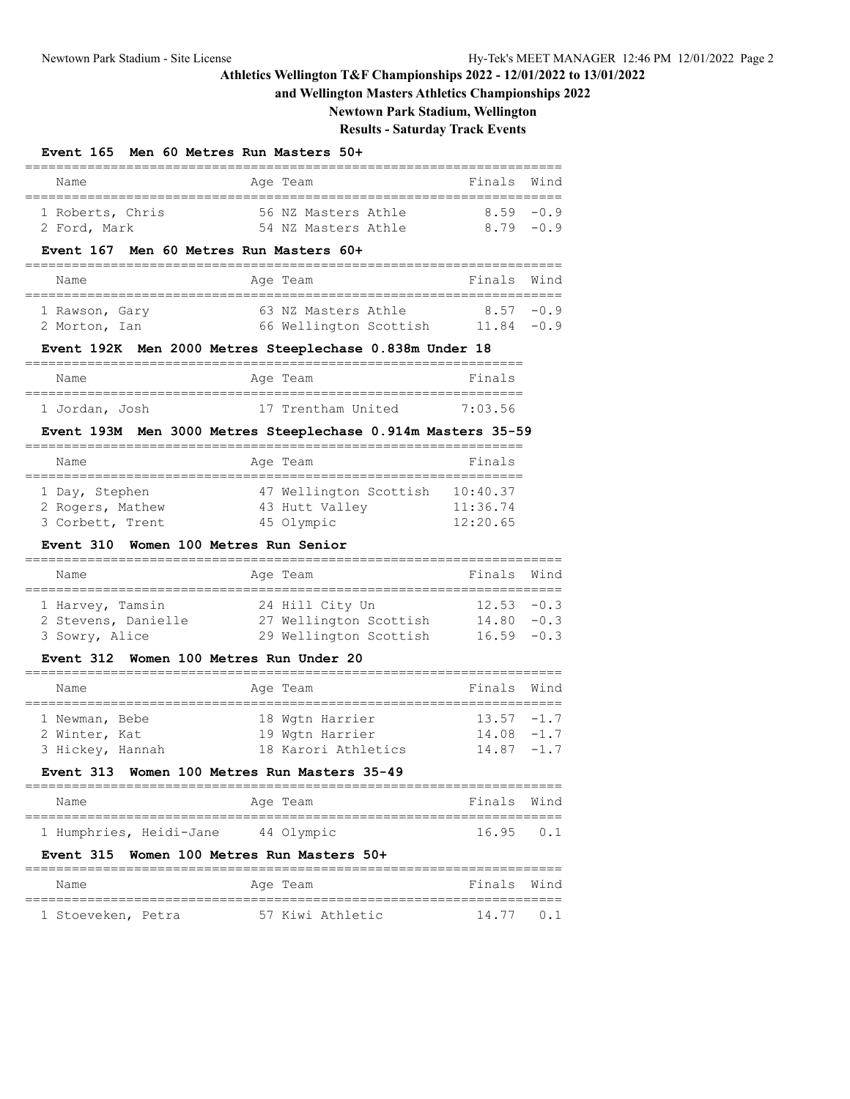# **and Wellington Masters Athletics Championships 2022**

**Newtown Park Stadium, Wellington**

# **Results - Saturday Track Events**

### **Event 165 Men 60 Metres Run Masters 50+**

| Name                                    | Age Team                                                     | Finals               | Wind   |
|-----------------------------------------|--------------------------------------------------------------|----------------------|--------|
| 1 Roberts, Chris<br>2 Ford, Mark        | 56 NZ Masters Athle<br>54 NZ Masters Athle                   | 8.59<br>$8.79 - 0.9$ | $-0.9$ |
| Event 167 Men 60 Metres Run Masters 60+ |                                                              |                      |        |
| Name                                    | Age Team                                                     | Finals               | Wind   |
| 1 Rawson, Gary                          | 63 NZ Masters Athle                                          | $8.57 - 0.9$         |        |
| 2 Morton, Ian                           | 66 Wellington Scottish 11.84 -0.9                            |                      |        |
|                                         | Event 192K Men 2000 Metres Steeplechase 0.838m Under 18      |                      |        |
| Name                                    | Age Team                                                     | Finals               |        |
| 1 Jordan, Josh                          | 17 Trentham United 7:03.56                                   |                      |        |
|                                         | Event 193M Men 3000 Metres Steeplechase 0.914m Masters 35-59 |                      |        |
| Name                                    | Age Team<br>========================                         | Finals               |        |
| 1 Day, Stephen                          | 47 Wellington Scottish 10:40.37                              |                      |        |
|                                         | 2 Rogers, Mathew 43 Hutt Valley 11:36.74                     | 12:20.65             |        |
| 3 Corbett, Trent<br><b>Event 310</b>    | 45 Olympic<br>Women 100 Metres Run Senior                    |                      |        |
| Name                                    | Age Team                                                     | Finals Wind          |        |
| 1 Harvey, Tamsin                        | 24 Hill City Un                                              | 12.53                | $-0.3$ |
|                                         | 2 Stevens, Danielle and 27 Wellington Scottish               | $14.80 - 0.3$        |        |
| 3 Sowry, Alice                          | 29 Wellington Scottish                                       | 16.59                | $-0.3$ |
| Event 312 Women 100 Metres Run Under 20 |                                                              |                      |        |
| Name                                    | Age Team                                                     | Finals               | Wind   |
| 1 Newman, Bebe                          | 18 Wgtn Harrier                                              | $13.57 - 1.7$        |        |
| 2 Winter, Kat                           | 19 Wgtn Harrier                                              | 14.08                | $-1.7$ |
| 3 Hickey, Hannah                        | 18 Karori Athletics                                          | 14.87                | $-1.7$ |
|                                         | Event 313 Women 100 Metres Run Masters 35-49                 |                      |        |
|                                         |                                                              | Finals               | Wind   |
| Name                                    | Age Team<br>:==================                              |                      |        |
| 1 Humphries, Heidi-Jane                 | 44 Olympic                                                   | 16.95                | 0.1    |
| Event 315                               | Women 100 Metres Run Masters 50+                             |                      |        |

===================================================================== 1 Stoeveken, Petra 57 Kiwi Athletic 14.77 0.1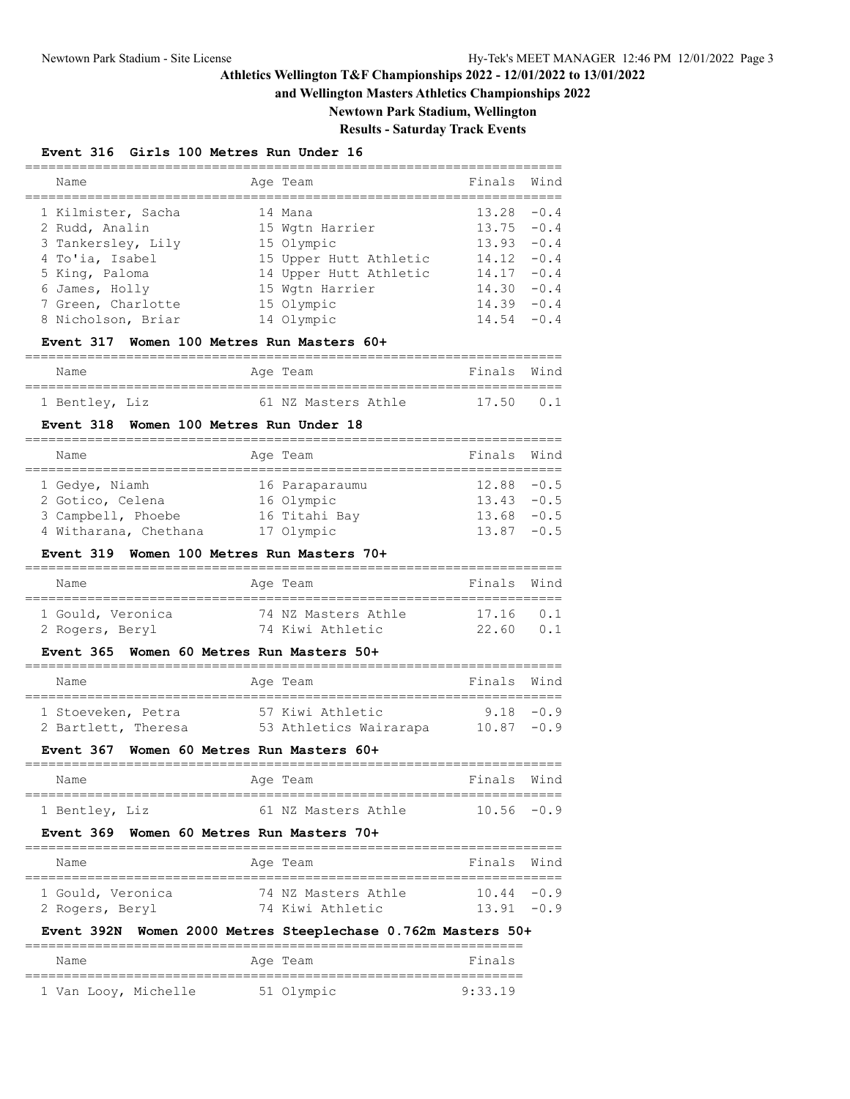### **and Wellington Masters Athletics Championships 2022**

**Newtown Park Stadium, Wellington**

# **Results - Saturday Track Events**

### **Event 316 Girls 100 Metres Run Under 16**

| Wind            |
|-----------------|
|                 |
| $-0.4$          |
| $13.75 - 0.4$   |
| $-0.4$          |
| $-0.4$          |
| $-0.4$          |
| $-0.4$          |
| 14.39<br>$-0.4$ |
| $-0.4$          |
|                 |

### **Event 317 Women 100 Metres Run Masters 60+**

| Name           | Age Team |                     | Finals Wind |                |
|----------------|----------|---------------------|-------------|----------------|
|                |          |                     |             |                |
| 1 Bentley, Liz |          | 61 NZ Masters Athle |             | $17.50 \t 0.1$ |

#### **Event 318 Women 100 Metres Run Under 18**

| Name |                                                                                   |  | Finals Wind                                                             |  |  |  |  |  |  |  |
|------|-----------------------------------------------------------------------------------|--|-------------------------------------------------------------------------|--|--|--|--|--|--|--|
|      |                                                                                   |  |                                                                         |  |  |  |  |  |  |  |
|      |                                                                                   |  | $12.88 - 0.5$                                                           |  |  |  |  |  |  |  |
|      |                                                                                   |  | $13.43 - 0.5$                                                           |  |  |  |  |  |  |  |
|      |                                                                                   |  | $13.68 - 0.5$                                                           |  |  |  |  |  |  |  |
|      |                                                                                   |  | $13.87 - 0.5$                                                           |  |  |  |  |  |  |  |
|      | 1 Gedye, Niamh<br>2 Gotico, Celena<br>3 Campbell, Phoebe<br>4 Witharana, Chethana |  | Age Team<br>16 Paraparaumu<br>16 Olympic<br>16 Titahi Bay<br>17 Olympic |  |  |  |  |  |  |  |

#### **Event 319 Women 100 Metres Run Masters 70+**

| Name              | Age Team            | Finals Wind |  |
|-------------------|---------------------|-------------|--|
|                   |                     |             |  |
| 1 Gould, Veronica | 74 NZ Masters Athle | $17.16$ 0.1 |  |
| 2 Rogers, Beryl   | 74 Kiwi Athletic    | 22.60       |  |

### **Event 365 Women 60 Metres Run Masters 50+**

| Name                | Age Team               | Finals Wind   |  |
|---------------------|------------------------|---------------|--|
| 1 Stoeveken, Petra  | 57 Kiwi Athletic       | $9.18 - 0.9$  |  |
| 2 Bartlett, Theresa | 53 Athletics Wairarapa | $10.87 - 0.9$ |  |

#### **Event 367 Women 60 Metres Run Masters 60+**

| Name           | Age Team |                     | Finals Wind   |  |
|----------------|----------|---------------------|---------------|--|
|                |          |                     |               |  |
| 1 Bentley, Liz |          | 61 NZ Masters Athle | $10.56 - 0.9$ |  |

### **Event 369 Women 60 Metres Run Masters 70+**

| Name              | Age Team            | Finals Wind   |  |
|-------------------|---------------------|---------------|--|
|                   |                     |               |  |
| 1 Gould, Veronica | 74 NZ Masters Athle | $10.44 - 0.9$ |  |
| 2 Rogers, Beryl   | 74 Kiwi Athletic    | $1391 -09$    |  |

# **Event 392N Women 2000 Metres Steeplechase 0.762m Masters 50+**

| Name |                      | Age Team   | Finals  |
|------|----------------------|------------|---------|
|      |                      |            |         |
|      | 1 Van Looy, Michelle | 51 Olympic | 9:33.19 |